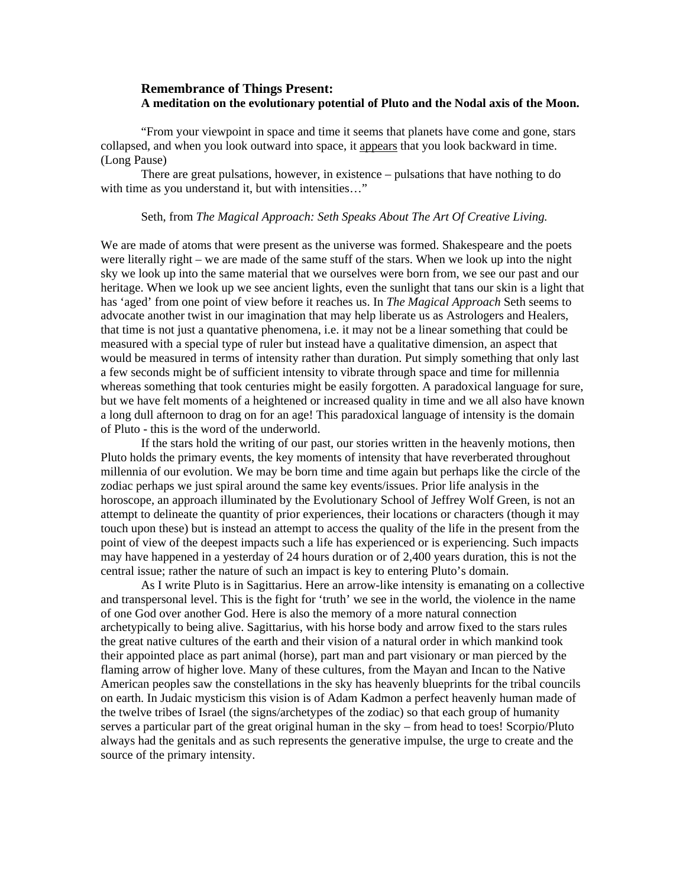## **Remembrance of Things Present: A meditation on the evolutionary potential of Pluto and the Nodal axis of the Moon.**

"From your viewpoint in space and time it seems that planets have come and gone, stars collapsed, and when you look outward into space, it appears that you look backward in time. (Long Pause)

There are great pulsations, however, in existence – pulsations that have nothing to do with time as you understand it, but with intensities..."

## Seth, from *The Magical Approach: Seth Speaks About The Art Of Creative Living.*

We are made of atoms that were present as the universe was formed. Shakespeare and the poets were literally right – we are made of the same stuff of the stars. When we look up into the night sky we look up into the same material that we ourselves were born from, we see our past and our heritage. When we look up we see ancient lights, even the sunlight that tans our skin is a light that has 'aged' from one point of view before it reaches us. In *The Magical Approach* Seth seems to advocate another twist in our imagination that may help liberate us as Astrologers and Healers, that time is not just a quantative phenomena, i.e. it may not be a linear something that could be measured with a special type of ruler but instead have a qualitative dimension, an aspect that would be measured in terms of intensity rather than duration. Put simply something that only last a few seconds might be of sufficient intensity to vibrate through space and time for millennia whereas something that took centuries might be easily forgotten. A paradoxical language for sure, but we have felt moments of a heightened or increased quality in time and we all also have known a long dull afternoon to drag on for an age! This paradoxical language of intensity is the domain of Pluto - this is the word of the underworld.

 If the stars hold the writing of our past, our stories written in the heavenly motions, then Pluto holds the primary events, the key moments of intensity that have reverberated throughout millennia of our evolution. We may be born time and time again but perhaps like the circle of the zodiac perhaps we just spiral around the same key events/issues. Prior life analysis in the horoscope, an approach illuminated by the Evolutionary School of Jeffrey Wolf Green, is not an attempt to delineate the quantity of prior experiences, their locations or characters (though it may touch upon these) but is instead an attempt to access the quality of the life in the present from the point of view of the deepest impacts such a life has experienced or is experiencing. Such impacts may have happened in a yesterday of 24 hours duration or of 2,400 years duration, this is not the central issue; rather the nature of such an impact is key to entering Pluto's domain.

 As I write Pluto is in Sagittarius. Here an arrow-like intensity is emanating on a collective and transpersonal level. This is the fight for 'truth' we see in the world, the violence in the name of one God over another God. Here is also the memory of a more natural connection archetypically to being alive. Sagittarius, with his horse body and arrow fixed to the stars rules the great native cultures of the earth and their vision of a natural order in which mankind took their appointed place as part animal (horse), part man and part visionary or man pierced by the flaming arrow of higher love. Many of these cultures, from the Mayan and Incan to the Native American peoples saw the constellations in the sky has heavenly blueprints for the tribal councils on earth. In Judaic mysticism this vision is of Adam Kadmon a perfect heavenly human made of the twelve tribes of Israel (the signs/archetypes of the zodiac) so that each group of humanity serves a particular part of the great original human in the sky – from head to toes! Scorpio/Pluto always had the genitals and as such represents the generative impulse, the urge to create and the source of the primary intensity.